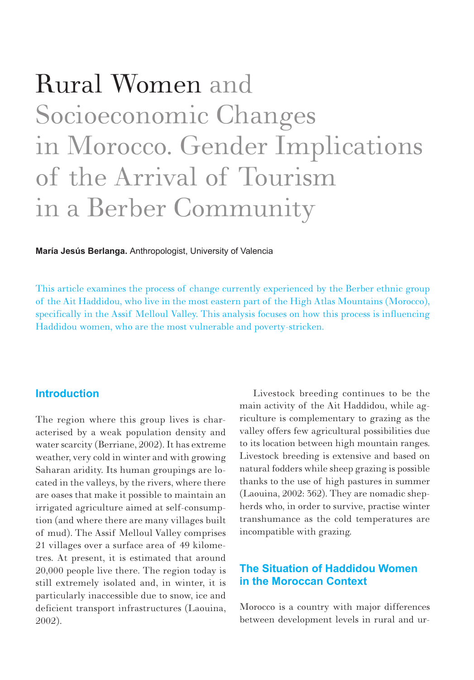# Rural Women and Socioeconomic Changes in Morocco. Gender Implications of the Arrival of Tourism in a Berber Community

**María Jesús Berlanga.** Anthropologist, University of Valencia

This article examines the process of change currently experienced by the Berber ethnic group of the Ait Haddidou, who live in the most eastern part of the High Atlas Mountains (Morocco), specifically in the Assif Melloul Valley. This analysis focuses on how this process is influencing Haddidou women, who are the most vulnerable and poverty-stricken.

### **Introduction**

The region where this group lives is characterised by a weak population density and water scarcity (Berriane, 2002). It has extreme weather, very cold in winter and with growing Saharan aridity. Its human groupings are located in the valleys, by the rivers, where there are oases that make it possible to maintain an irrigated agriculture aimed at self-consumption (and where there are many villages built of mud). The Assif Melloul Valley comprises 21 villages over a surface area of 49 kilometres. At present, it is estimated that around 20,000 people live there. The region today is still extremely isolated and, in winter, it is particularly inaccessible due to snow, ice and deficient transport infrastructures (Laouina, 2002).

Livestock breeding continues to be the main activity of the Ait Haddidou, while agriculture is complementary to grazing as the valley offers few agricultural possibilities due to its location between high mountain ranges. Livestock breeding is extensive and based on natural fodders while sheep grazing is possible thanks to the use of high pastures in summer (Laouina, 2002: 362). They are nomadic shepherds who, in order to survive, practise winter transhumance as the cold temperatures are incompatible with grazing.

## **The Situation of Haddidou Women in the Moroccan Context**

Morocco is a country with major differences between development levels in rural and ur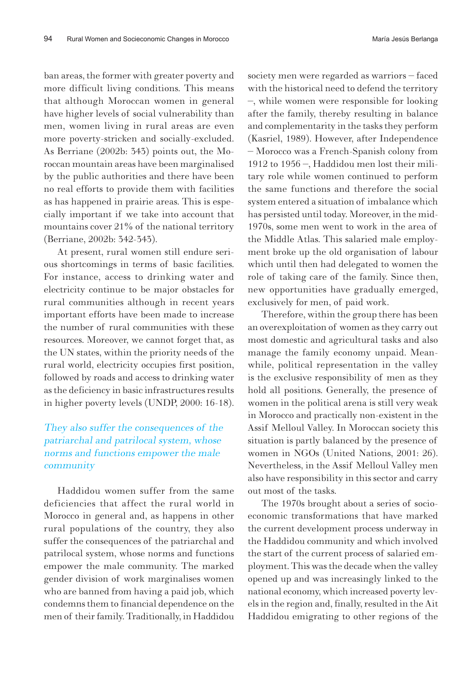ban areas, the former with greater poverty and more difficult living conditions. This means that although Moroccan women in general have higher levels of social vulnerability than men, women living in rural areas are even more poverty-stricken and socially-excluded. As Berriane (2002b: 343) points out, the Moroccan mountain areas have been marginalised by the public authorities and there have been no real efforts to provide them with facilities as has happened in prairie areas. This is especially important if we take into account that mountains cover 21% of the national territory (Berriane, 2002b: 342-343).

At present, rural women still endure serious shortcomings in terms of basic facilities. For instance, access to drinking water and electricity continue to be major obstacles for rural communities although in recent years important efforts have been made to increase the number of rural communities with these resources. Moreover, we cannot forget that, as the UN states, within the priority needs of the rural world, electricity occupies first position, followed by roads and access to drinking water as the deficiency in basic infrastructures results in higher poverty levels (UNDP, 2000: 16-18).

#### They also suffer the consequences of the patriarchal and patrilocal system, whose norms and functions empower the male community

Haddidou women suffer from the same deficiencies that affect the rural world in Morocco in general and, as happens in other rural populations of the country, they also suffer the consequences of the patriarchal and patrilocal system, whose norms and functions empower the male community. The marked gender division of work marginalises women who are banned from having a paid job, which condemns them to financial dependence on the men of their family. Traditionally, in Haddidou

society men were regarded as warriors – faced with the historical need to defend the territory –, while women were responsible for looking after the family, thereby resulting in balance and complementarity in the tasks they perform (Kasriel, 1989). However, after Independence – Morocco was a French-Spanish colony from 1912 to 1956 –, Haddidou men lost their military role while women continued to perform the same functions and therefore the social system entered a situation of imbalance which has persisted until today. Moreover, in the mid-1970s, some men went to work in the area of the Middle Atlas. This salaried male employment broke up the old organisation of labour which until then had delegated to women the role of taking care of the family. Since then, new opportunities have gradually emerged, exclusively for men, of paid work.

Therefore, within the group there has been an overexploitation of women as they carry out most domestic and agricultural tasks and also manage the family economy unpaid. Meanwhile, political representation in the valley is the exclusive responsibility of men as they hold all positions. Generally, the presence of women in the political arena is still very weak in Morocco and practically non-existent in the Assif Melloul Valley. In Moroccan society this situation is partly balanced by the presence of women in NGOs (United Nations, 2001: 26). Nevertheless, in the Assif Melloul Valley men also have responsibility in this sector and carry out most of the tasks.

The 1970s brought about a series of socioeconomic transformations that have marked the current development process underway in the Haddidou community and which involved the start of the current process of salaried employment. This was the decade when the valley opened up and was increasingly linked to the national economy, which increased poverty levels in the region and, finally, resulted in the Ait Haddidou emigrating to other regions of the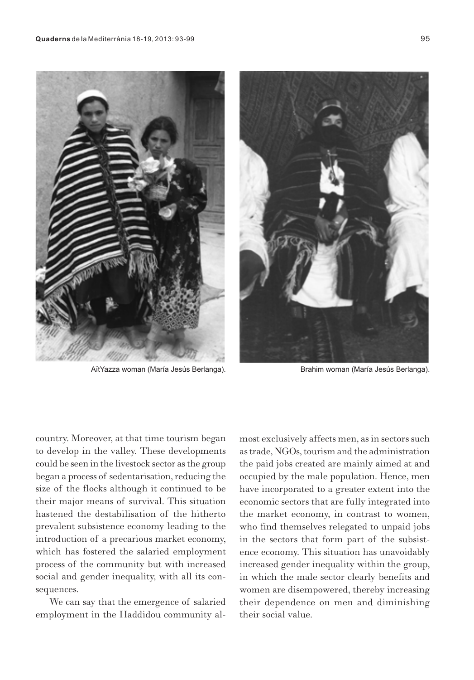

AïtYazza woman (María Jesús Berlanga). Brahim woman (María Jesús Berlanga).



country. Moreover, at that time tourism began to develop in the valley. These developments could be seen in the livestock sector as the group began a process of sedentarisation, reducing the size of the flocks although it continued to be their major means of survival. This situation hastened the destabilisation of the hitherto prevalent subsistence economy leading to the introduction of a precarious market economy, which has fostered the salaried employment process of the community but with increased social and gender inequality, with all its consequences.

We can say that the emergence of salaried employment in the Haddidou community almost exclusively affects men, as in sectors such as trade, NGOs, tourism and the administration the paid jobs created are mainly aimed at and occupied by the male population. Hence, men have incorporated to a greater extent into the economic sectors that are fully integrated into the market economy, in contrast to women, who find themselves relegated to unpaid jobs in the sectors that form part of the subsistence economy. This situation has unavoidably increased gender inequality within the group, in which the male sector clearly benefits and women are disempowered, thereby increasing their dependence on men and diminishing their social value.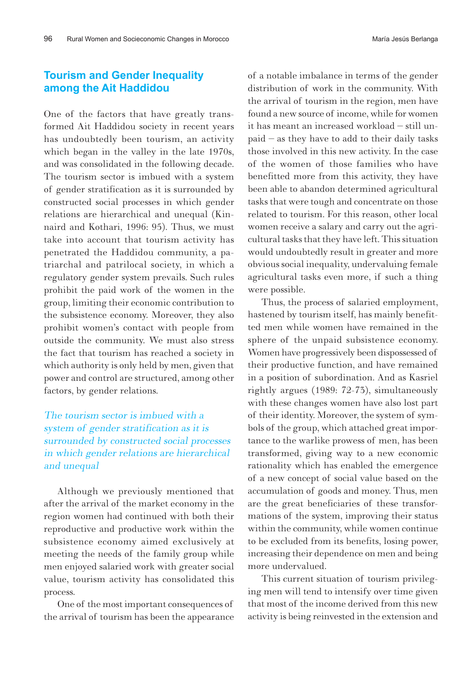## **Tourism and Gender Inequality among the Ait Haddidou**

One of the factors that have greatly transformed Ait Haddidou society in recent years has undoubtedly been tourism, an activity which began in the valley in the late 1970s, and was consolidated in the following decade. The tourism sector is imbued with a system of gender stratification as it is surrounded by constructed social processes in which gender relations are hierarchical and unequal (Kinnaird and Kothari, 1996: 95). Thus, we must take into account that tourism activity has penetrated the Haddidou community, a patriarchal and patrilocal society, in which a regulatory gender system prevails. Such rules prohibit the paid work of the women in the group, limiting their economic contribution to the subsistence economy. Moreover, they also prohibit women's contact with people from outside the community. We must also stress the fact that tourism has reached a society in which authority is only held by men, given that power and control are structured, among other factors, by gender relations.

### The tourism sector is imbued with a system of gender stratification as it is surrounded by constructed social processes in which gender relations are hierarchical and unequal

Although we previously mentioned that after the arrival of the market economy in the region women had continued with both their reproductive and productive work within the subsistence economy aimed exclusively at meeting the needs of the family group while men enjoyed salaried work with greater social value, tourism activity has consolidated this process.

One of the most important consequences of the arrival of tourism has been the appearance of a notable imbalance in terms of the gender distribution of work in the community. With the arrival of tourism in the region, men have found a new source of income, while for women it has meant an increased workload – still unpaid – as they have to add to their daily tasks those involved in this new activity. In the case of the women of those families who have benefitted more from this activity, they have been able to abandon determined agricultural tasks that were tough and concentrate on those related to tourism. For this reason, other local women receive a salary and carry out the agricultural tasks that they have left. This situation would undoubtedly result in greater and more obvious social inequality, undervaluing female agricultural tasks even more, if such a thing were possible.

Thus, the process of salaried employment, hastened by tourism itself, has mainly benefitted men while women have remained in the sphere of the unpaid subsistence economy. Women have progressively been dispossessed of their productive function, and have remained in a position of subordination. And as Kasriel rightly argues (1989: 72-73), simultaneously with these changes women have also lost part of their identity. Moreover, the system of symbols of the group, which attached great importance to the warlike prowess of men, has been transformed, giving way to a new economic rationality which has enabled the emergence of a new concept of social value based on the accumulation of goods and money. Thus, men are the great beneficiaries of these transformations of the system, improving their status within the community, while women continue to be excluded from its benefits, losing power, increasing their dependence on men and being more undervalued.

This current situation of tourism privileging men will tend to intensify over time given that most of the income derived from this new activity is being reinvested in the extension and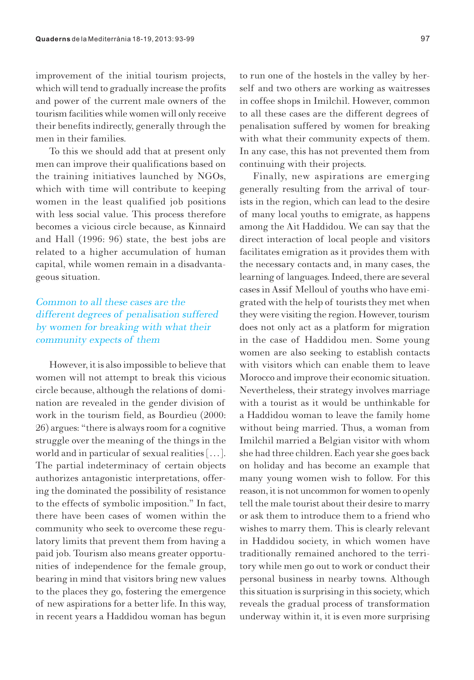improvement of the initial tourism projects, which will tend to gradually increase the profits and power of the current male owners of the tourism facilities while women will only receive their benefits indirectly, generally through the men in their families.

To this we should add that at present only men can improve their qualifications based on the training initiatives launched by NGOs, which with time will contribute to keeping women in the least qualified job positions with less social value. This process therefore becomes a vicious circle because, as Kinnaird and Hall (1996: 96) state, the best jobs are related to a higher accumulation of human capital, while women remain in a disadvantageous situation.

### Common to all these cases are the different degrees of penalisation suffered by women for breaking with what their community expects of them

However, it is also impossible to believe that women will not attempt to break this vicious circle because, although the relations of domination are revealed in the gender division of work in the tourism field, as Bourdieu (2000: 26) argues: "there is always room for a cognitive struggle over the meaning of the things in the world and in particular of sexual realities […]. The partial indeterminacy of certain objects authorizes antagonistic interpretations, offering the dominated the possibility of resistance to the effects of symbolic imposition." In fact, there have been cases of women within the community who seek to overcome these regulatory limits that prevent them from having a paid job. Tourism also means greater opportunities of independence for the female group, bearing in mind that visitors bring new values to the places they go, fostering the emergence of new aspirations for a better life. In this way, in recent years a Haddidou woman has begun

to run one of the hostels in the valley by herself and two others are working as waitresses in coffee shops in Imilchil. However, common to all these cases are the different degrees of penalisation suffered by women for breaking with what their community expects of them. In any case, this has not prevented them from continuing with their projects.

Finally, new aspirations are emerging generally resulting from the arrival of tourists in the region, which can lead to the desire of many local youths to emigrate, as happens among the Ait Haddidou. We can say that the direct interaction of local people and visitors facilitates emigration as it provides them with the necessary contacts and, in many cases, the learning of languages. Indeed, there are several cases in Assif Melloul of youths who have emigrated with the help of tourists they met when they were visiting the region. However, tourism does not only act as a platform for migration in the case of Haddidou men. Some young women are also seeking to establish contacts with visitors which can enable them to leave Morocco and improve their economic situation. Nevertheless, their strategy involves marriage with a tourist as it would be unthinkable for a Haddidou woman to leave the family home without being married. Thus, a woman from Imilchil married a Belgian visitor with whom she had three children. Each year she goes back on holiday and has become an example that many young women wish to follow. For this reason, it is not uncommon for women to openly tell the male tourist about their desire to marry or ask them to introduce them to a friend who wishes to marry them. This is clearly relevant in Haddidou society, in which women have traditionally remained anchored to the territory while men go out to work or conduct their personal business in nearby towns. Although this situation is surprising in this society, which reveals the gradual process of transformation underway within it, it is even more surprising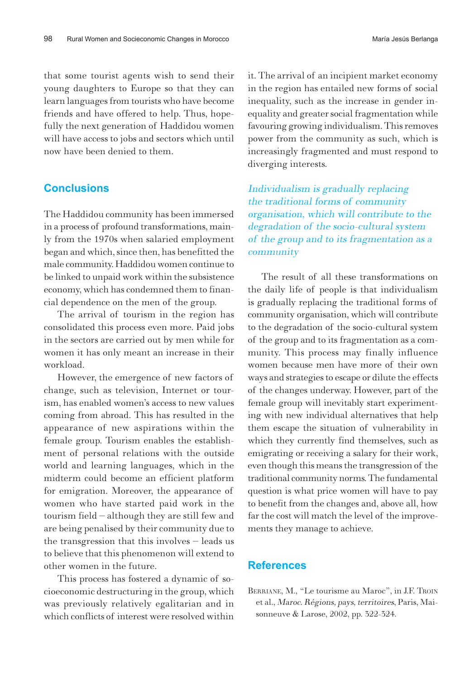that some tourist agents wish to send their young daughters to Europe so that they can learn languages from tourists who have become friends and have offered to help. Thus, hopefully the next generation of Haddidou women will have access to jobs and sectors which until now have been denied to them.

#### **Conclusions**

The Haddidou community has been immersed in a process of profound transformations, mainly from the 1970s when salaried employment began and which, since then, has benefitted the male community. Haddidou women continue to be linked to unpaid work within the subsistence economy, which has condemned them to financial dependence on the men of the group.

The arrival of tourism in the region has consolidated this process even more. Paid jobs in the sectors are carried out by men while for women it has only meant an increase in their workload.

However, the emergence of new factors of change, such as television, Internet or tourism, has enabled women's access to new values coming from abroad. This has resulted in the appearance of new aspirations within the female group. Tourism enables the establishment of personal relations with the outside world and learning languages, which in the midterm could become an efficient platform for emigration. Moreover, the appearance of women who have started paid work in the tourism field – although they are still few and are being penalised by their community due to the transgression that this involves – leads us to believe that this phenomenon will extend to other women in the future.

This process has fostered a dynamic of socioeconomic destructuring in the group, which was previously relatively egalitarian and in which conflicts of interest were resolved within

it. The arrival of an incipient market economy in the region has entailed new forms of social inequality, such as the increase in gender inequality and greater social fragmentation while favouring growing individualism. This removes power from the community as such, which is increasingly fragmented and must respond to diverging interests.

Individualism is gradually replacing the traditional forms of community organisation, which will contribute to the degradation of the socio-cultural system of the group and to its fragmentation as a community

The result of all these transformations on the daily life of people is that individualism is gradually replacing the traditional forms of community organisation, which will contribute to the degradation of the socio-cultural system of the group and to its fragmentation as a community. This process may finally influence women because men have more of their own ways and strategies to escape or dilute the effects of the changes underway. However, part of the female group will inevitably start experimenting with new individual alternatives that help them escape the situation of vulnerability in which they currently find themselves, such as emigrating or receiving a salary for their work, even though this means the transgression of the traditional community norms. The fundamental question is what price women will have to pay to benefit from the changes and, above all, how far the cost will match the level of the improvements they manage to achieve.

#### **References**

BERRIANE, M., "Le tourisme au Maroc", in J.F. TROIN et al., Maroc. Régions, pays, territoires, Paris, Maisonneuve & Larose, 2002, pp. 322-324.